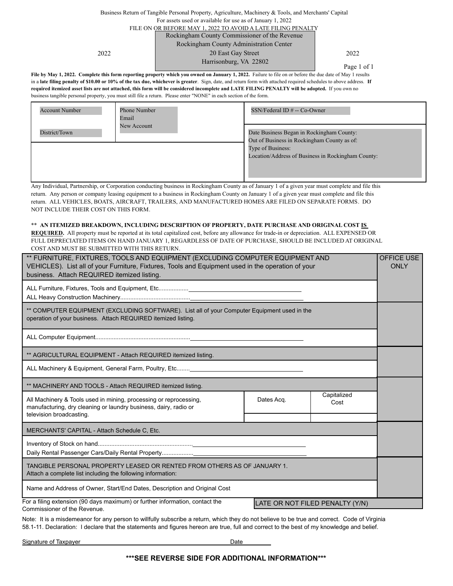#### Business Return of Tangible Personal Property, Agriculture, Machinery & Tools, and Merchants' Capital For assets used or available for use as of January 1, 2022 FILE ON OR BEFORE MAY 1, 2022 TO AVOID A LATE FILING PENALTY Rockingham County Commissioner of the Revenue

Rockingham County Administration Center

2022 **2022** 2012 20 East Gay Street 2022 Harrisonburg, VA 22802

Page 1 of 1

File by May 1, 2022. Complete this form reporting property which you owned on January 1, 2022. Failure to file on or before the due date of May 1 results in a **late filing penalty of \$10.00 or 10% of the tax due, whichever is greater**. Sign, date, and return form with attached required schedules to above address. **If required itemized asset lists are not attached, this form will be considered incomplete and LATE FILING PENALTY will be adopted.** If you own no business tangible personal property, you must still file a return. Please enter "NONE" in each section of the form.

| <b>Account Number</b> | <b>Phone Number</b><br>Email | SSN/Federal ID # -- Co-Owner                                                                                                                                        |
|-----------------------|------------------------------|---------------------------------------------------------------------------------------------------------------------------------------------------------------------|
| District/Town         | New Account                  | Date Business Began in Rockingham County:<br>Out of Business in Rockingham County as of:<br>Type of Business:<br>Location/Address of Business in Rockingham County: |

Any Individual, Partnership, or Corporation conducting business in Rockingham County as of January 1 of a given year must complete and file this return. Any person or company leasing equipment to a business in Rockingham County on January 1 of a given year must complete and file this return. ALL VEHICLES, BOATS, AIRCRAFT, TRAILERS, AND MANUFACTURED HOMES ARE FILED ON SEPARATE FORMS. DO NOT INCLUDE THEIR COST ON THIS FORM.

#### \*\* **AN ITEMIZED BREAKDOWN, INCLUDING DESCRIPTION OF PROPERTY, DATE PURCHASE AND ORIGINAL COST IS**

**REQUIRED.** All property must be reported at its total capitalized cost, before any allowance for trade-in or depreciation. ALL EXPENSED OR FULL DEPRECIATED ITEMS ON HAND JANUARY 1, REGARDLESS OF DATE OF PURCHASE, SHOULD BE INCLUDED AT ORIGINAL COST AND MUST BE SUBMITTED WITH THIS RETURN.

| ** FURNITURE, FIXTURES, TOOLS AND EQUIPMENT (EXCLUDING COMPUTER EQUIPMENT AND<br>VEHICLES). List all of your Furniture, Fixtures, Tools and Equipment used in the operation of your<br>business. Attach REQUIRED itemized listing. |            |                     |  |
|------------------------------------------------------------------------------------------------------------------------------------------------------------------------------------------------------------------------------------|------------|---------------------|--|
|                                                                                                                                                                                                                                    |            |                     |  |
| ** COMPUTER EQUIPMENT (EXCLUDING SOFTWARE). List all of your Computer Equipment used in the<br>operation of your business. Attach REQUIRED itemized listing.                                                                       |            |                     |  |
|                                                                                                                                                                                                                                    |            |                     |  |
| ** AGRICULTURAL EQUIPMENT - Attach REQUIRED itemized listing.                                                                                                                                                                      |            |                     |  |
| ALL Machinery & Equipment, General Farm, Poultry, Etc                                                                                                                                                                              |            |                     |  |
| ** MACHINERY AND TOOLS - Attach REQUIRED itemized listing.                                                                                                                                                                         |            |                     |  |
| All Machinery & Tools used in mining, processing or reprocessing,<br>manufacturing, dry cleaning or laundry business, dairy, radio or<br>television broadcasting.                                                                  | Dates Acq. | Capitalized<br>Cost |  |
| MERCHANTS' CAPITAL - Attach Schedule C, Etc.                                                                                                                                                                                       |            |                     |  |
|                                                                                                                                                                                                                                    |            |                     |  |
| TANGIBLE PERSONAL PROPERTY LEASED OR RENTED FROM OTHERS AS OF JANUARY 1.<br>Attach a complete list including the following information:                                                                                            |            |                     |  |
| Name and Address of Owner, Start/End Dates, Description and Original Cost                                                                                                                                                          |            |                     |  |
| For a filing extension (90 days maximum) or further information, contact the<br>LATE OR NOT FILED PENALTY (Y/N)<br>Commissioner of the Revenue.                                                                                    |            |                     |  |

Note: It is a misdemeanor for any person to willfully subscribe a return, which they do not believe to be true and correct. Code of Virginia 58.1-11. Declaration: I declare that the statements and figures hereon are true, full and correct to the best of my knowledge and belief.